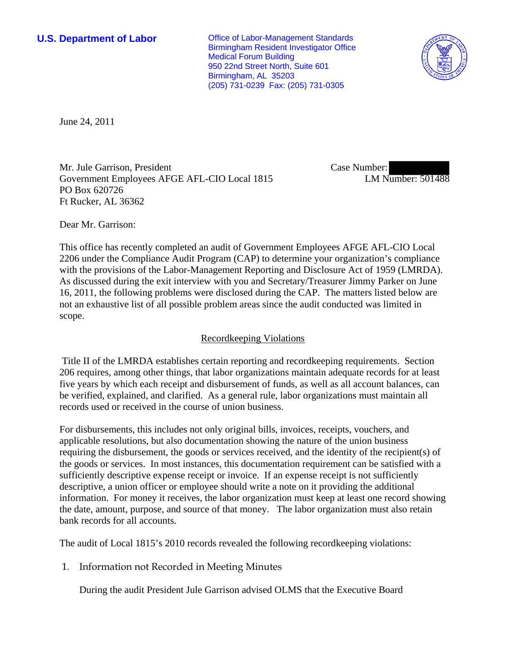**U.S. Department of Labor Conservative Conservative Conservative Conservative Conservative Conservative Conservative Conservative Conservative Conservative Conservative Conservative Conservative Conservative Conservative** Birmingham Resident Investigator Office Medical Forum Building 950 22nd Street North, Suite 601 Birmingham, AL 35203 (205) 731-0239 Fax: (205) 731-0305



June 24, 2011

Mr. Jule Garrison, President Government Employees AFGE AFL-CIO Local 1815 PO Box 620726 Ft Rucker, AL 36362

Case Number: LM Number: 501488

Dear Mr. Garrison:

This office has recently completed an audit of Government Employees AFGE AFL-CIO Local 2206 under the Compliance Audit Program (CAP) to determine your organization's compliance with the provisions of the Labor-Management Reporting and Disclosure Act of 1959 (LMRDA). As discussed during the exit interview with you and Secretary/Treasurer Jimmy Parker on June 16, 2011, the following problems were disclosed during the CAP. The matters listed below are not an exhaustive list of all possible problem areas since the audit conducted was limited in scope.

## Recordkeeping Violations

 Title II of the LMRDA establishes certain reporting and recordkeeping requirements. Section 206 requires, among other things, that labor organizations maintain adequate records for at least five years by which each receipt and disbursement of funds, as well as all account balances, can be verified, explained, and clarified. As a general rule, labor organizations must maintain all records used or received in the course of union business.

For disbursements, this includes not only original bills, invoices, receipts, vouchers, and applicable resolutions, but also documentation showing the nature of the union business requiring the disbursement, the goods or services received, and the identity of the recipient(s) of the goods or services. In most instances, this documentation requirement can be satisfied with a sufficiently descriptive expense receipt or invoice. If an expense receipt is not sufficiently descriptive, a union officer or employee should write a note on it providing the additional information. For money it receives, the labor organization must keep at least one record showing the date, amount, purpose, and source of that money. The labor organization must also retain bank records for all accounts.

The audit of Local 1815's 2010 records revealed the following recordkeeping violations:

1. Information not Recorded in Meeting Minutes

During the audit President Jule Garrison advised OLMS that the Executive Board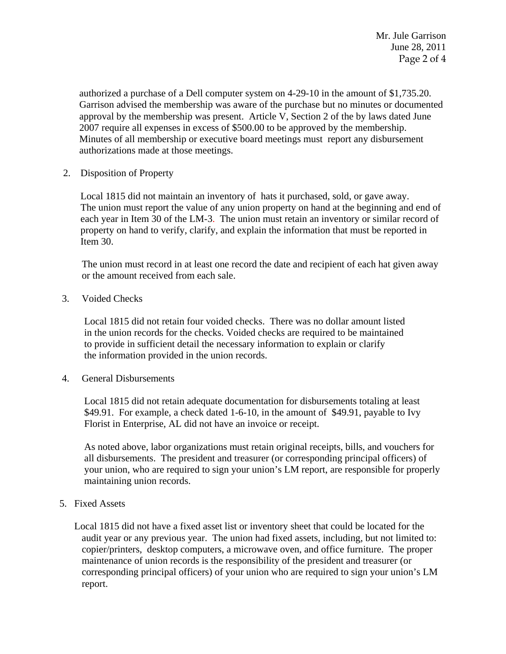authorized a purchase of a Dell computer system on 4-29-10 in the amount of \$1,735.20. Garrison advised the membership was aware of the purchase but no minutes or documented approval by the membership was present. Article V, Section 2 of the by laws dated June 2007 require all expenses in excess of \$500.00 to be approved by the membership. Minutes of all membership or executive board meetings must report any disbursement authorizations made at those meetings.

2. Disposition of Property

 Local 1815 did not maintain an inventory of hats it purchased, sold, or gave away. The union must report the value of any union property on hand at the beginning and end of each year in Item 30 of the LM-3. The union must retain an inventory or similar record of property on hand to verify, clarify, and explain the information that must be reported in Item 30.

The union must record in at least one record the date and recipient of each hat given away or the amount received from each sale.

3. Voided Checks

 Local 1815 did not retain four voided checks. There was no dollar amount listed in the union records for the checks. Voided checks are required to be maintained to provide in sufficient detail the necessary information to explain or clarify the information provided in the union records.

4. General Disbursements

 Local 1815 did not retain adequate documentation for disbursements totaling at least \$49.91. For example, a check dated 1-6-10, in the amount of \$49.91, payable to Ivy Florist in Enterprise, AL did not have an invoice or receipt.

 As noted above, labor organizations must retain original receipts, bills, and vouchers for all disbursements. The president and treasurer (or corresponding principal officers) of your union, who are required to sign your union's LM report, are responsible for properly maintaining union records.

5. Fixed Assets

 Local 1815 did not have a fixed asset list or inventory sheet that could be located for the audit year or any previous year. The union had fixed assets, including, but not limited to: copier/printers, desktop computers, a microwave oven, and office furniture. The proper maintenance of union records is the responsibility of the president and treasurer (or corresponding principal officers) of your union who are required to sign your union's LM report.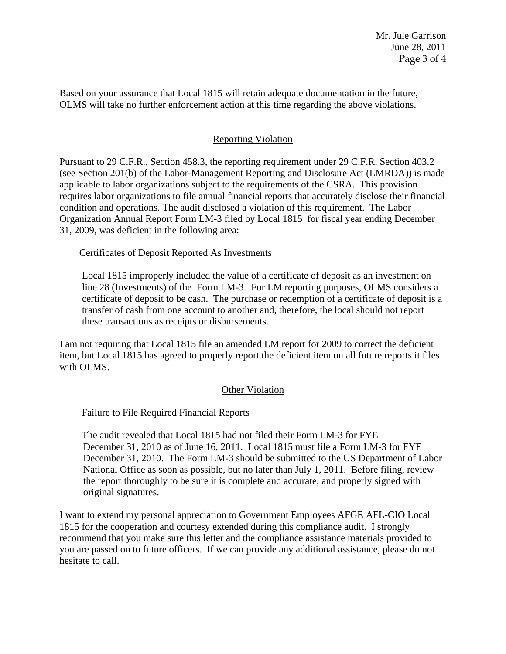Based on your assurance that Local 1815 will retain adequate documentation in the future, OLMS will take no further enforcement action at this time regarding the above violations.

## Reporting Violation

Pursuant to 29 C.F.R., Section 458.3, the reporting requirement under 29 C.F.R. Section 403.2 (see Section 201(b) of the Labor-Management Reporting and Disclosure Act (LMRDA)) is made applicable to labor organizations subject to the requirements of the CSRA. This provision requires labor organizations to file annual financial reports that accurately disclose their financial condition and operations. The audit disclosed a violation of this requirement. The Labor Organization Annual Report Form LM-3 filed by Local 1815 for fiscal year ending December 31, 2009, was deficient in the following area:

Certificates of Deposit Reported As Investments

Local 1815 improperly included the value of a certificate of deposit as an investment on line 28 (Investments) of the Form LM-3. For LM reporting purposes, OLMS considers a certificate of deposit to be cash. The purchase or redemption of a certificate of deposit is a transfer of cash from one account to another and, therefore, the local should not report these transactions as receipts or disbursements.

I am not requiring that Local 1815 file an amended LM report for 2009 to correct the deficient item, but Local 1815 has agreed to properly report the deficient item on all future reports it files with OLMS.

## Other Violation

Failure to File Required Financial Reports

 The audit revealed that Local 1815 had not filed their Form LM-3 for FYE December 31, 2010 as of June 16, 2011. Local 1815 must file a Form LM-3 for FYE December 31, 2010. The Form LM-3 should be submitted to the US Department of Labor National Office as soon as possible, but no later than July 1, 2011. Before filing, review the report thoroughly to be sure it is complete and accurate, and properly signed with original signatures.

I want to extend my personal appreciation to Government Employees AFGE AFL-CIO Local 1815 for the cooperation and courtesy extended during this compliance audit. I strongly recommend that you make sure this letter and the compliance assistance materials provided to you are passed on to future officers. If we can provide any additional assistance, please do not hesitate to call.